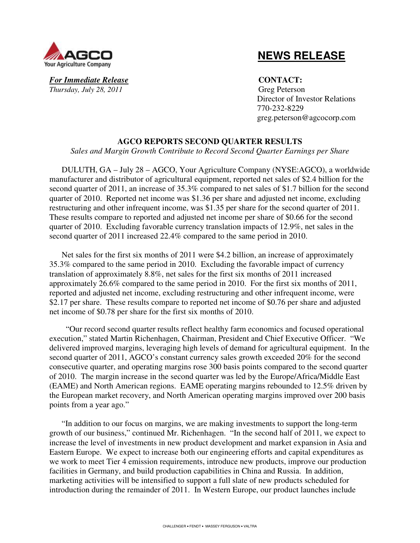

 **NEWS RELEASE**

**For Immediate Release CONTACT:** *Thursday, July 28, 2011* Greg Peterson

 Director of Investor Relations 770-232-8229 greg.peterson@agcocorp.com

# **AGCO REPORTS SECOND QUARTER RESULTS**

*Sales and Margin Growth Contribute to Record Second Quarter Earnings per Share* 

DULUTH, GA – July 28 – AGCO, Your Agriculture Company (NYSE:AGCO), a worldwide manufacturer and distributor of agricultural equipment, reported net sales of \$2.4 billion for the second quarter of 2011, an increase of 35.3% compared to net sales of \$1.7 billion for the second quarter of 2010. Reported net income was \$1.36 per share and adjusted net income, excluding restructuring and other infrequent income, was \$1.35 per share for the second quarter of 2011. These results compare to reported and adjusted net income per share of \$0.66 for the second quarter of 2010. Excluding favorable currency translation impacts of 12.9%, net sales in the second quarter of 2011 increased 22.4% compared to the same period in 2010.

Net sales for the first six months of 2011 were \$4.2 billion, an increase of approximately 35.3% compared to the same period in 2010. Excluding the favorable impact of currency translation of approximately 8.8%, net sales for the first six months of 2011 increased approximately 26.6% compared to the same period in 2010. For the first six months of 2011, reported and adjusted net income, excluding restructuring and other infrequent income, were \$2.17 per share. These results compare to reported net income of \$0.76 per share and adjusted net income of \$0.78 per share for the first six months of 2010.

 "Our record second quarter results reflect healthy farm economics and focused operational execution," stated Martin Richenhagen, Chairman, President and Chief Executive Officer. "We delivered improved margins, leveraging high levels of demand for agricultural equipment. In the second quarter of 2011, AGCO's constant currency sales growth exceeded 20% for the second consecutive quarter, and operating margins rose 300 basis points compared to the second quarter of 2010. The margin increase in the second quarter was led by the Europe/Africa/Middle East (EAME) and North American regions. EAME operating margins rebounded to 12.5% driven by the European market recovery, and North American operating margins improved over 200 basis points from a year ago."

"In addition to our focus on margins, we are making investments to support the long-term growth of our business," continued Mr. Richenhagen. "In the second half of 2011, we expect to increase the level of investments in new product development and market expansion in Asia and Eastern Europe. We expect to increase both our engineering efforts and capital expenditures as we work to meet Tier 4 emission requirements, introduce new products, improve our production facilities in Germany, and build production capabilities in China and Russia. In addition, marketing activities will be intensified to support a full slate of new products scheduled for introduction during the remainder of 2011. In Western Europe, our product launches include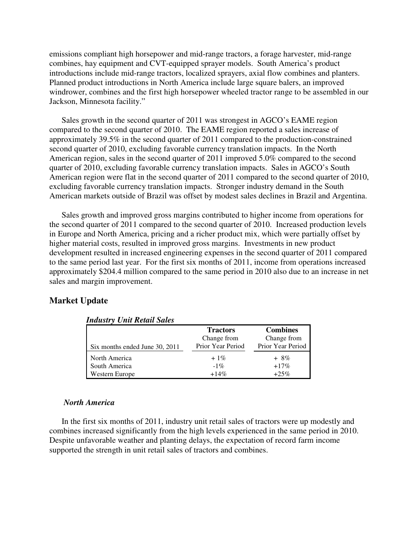emissions compliant high horsepower and mid-range tractors, a forage harvester, mid-range combines, hay equipment and CVT-equipped sprayer models. South America's product introductions include mid-range tractors, localized sprayers, axial flow combines and planters. Planned product introductions in North America include large square balers, an improved windrower, combines and the first high horsepower wheeled tractor range to be assembled in our Jackson, Minnesota facility."

Sales growth in the second quarter of 2011 was strongest in AGCO's EAME region compared to the second quarter of 2010. The EAME region reported a sales increase of approximately 39.5% in the second quarter of 2011 compared to the production-constrained second quarter of 2010, excluding favorable currency translation impacts. In the North American region, sales in the second quarter of 2011 improved 5.0% compared to the second quarter of 2010, excluding favorable currency translation impacts. Sales in AGCO's South American region were flat in the second quarter of 2011 compared to the second quarter of 2010, excluding favorable currency translation impacts. Stronger industry demand in the South American markets outside of Brazil was offset by modest sales declines in Brazil and Argentina.

Sales growth and improved gross margins contributed to higher income from operations for the second quarter of 2011 compared to the second quarter of 2010. Increased production levels in Europe and North America, pricing and a richer product mix, which were partially offset by higher material costs, resulted in improved gross margins. Investments in new product development resulted in increased engineering expenses in the second quarter of 2011 compared to the same period last year. For the first six months of 2011, income from operations increased approximately \$204.4 million compared to the same period in 2010 also due to an increase in net sales and margin improvement.

# **Market Update**

| гниизи у Они кеши зикз         |                   |                   |
|--------------------------------|-------------------|-------------------|
|                                | <b>Tractors</b>   | <b>Combines</b>   |
|                                | Change from       | Change from       |
| Six months ended June 30, 2011 | Prior Year Period | Prior Year Period |
| North America                  | $+1\%$            | $+8\%$            |
| South America                  | $-1\%$            | $+17\%$           |
| Western Europe                 | $+14\%$           | $+25\%$           |

## *Industry Unit Retail Sales*

#### *North America*

In the first six months of 2011, industry unit retail sales of tractors were up modestly and combines increased significantly from the high levels experienced in the same period in 2010. Despite unfavorable weather and planting delays, the expectation of record farm income supported the strength in unit retail sales of tractors and combines.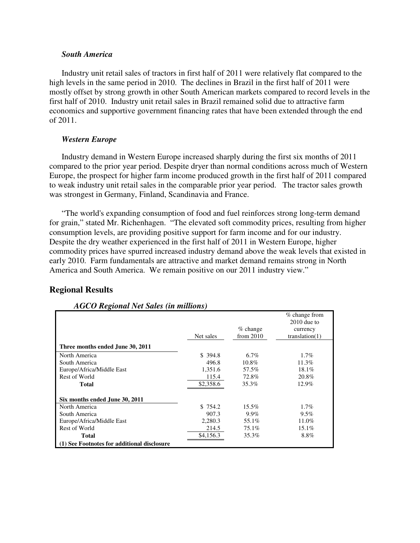# *South America*

Industry unit retail sales of tractors in first half of 2011 were relatively flat compared to the high levels in the same period in 2010. The declines in Brazil in the first half of 2011 were mostly offset by strong growth in other South American markets compared to record levels in the first half of 2010. Industry unit retail sales in Brazil remained solid due to attractive farm economics and supportive government financing rates that have been extended through the end of 2011.

# *Western Europe*

Industry demand in Western Europe increased sharply during the first six months of 2011 compared to the prior year period. Despite dryer than normal conditions across much of Western Europe, the prospect for higher farm income produced growth in the first half of 2011 compared to weak industry unit retail sales in the comparable prior year period. The tractor sales growth was strongest in Germany, Finland, Scandinavia and France.

"The world's expanding consumption of food and fuel reinforces strong long-term demand for grain," stated Mr. Richenhagen. "The elevated soft commodity prices, resulting from higher consumption levels, are providing positive support for farm income and for our industry. Despite the dry weather experienced in the first half of 2011 in Western Europe, higher commodity prices have spurred increased industry demand above the weak levels that existed in early 2010. Farm fundamentals are attractive and market demand remains strong in North America and South America. We remain positive on our 2011 industry view."

# **Regional Results**

| <i>hood hogional we saves (in municipal</i> |           |             |                                  |
|---------------------------------------------|-----------|-------------|----------------------------------|
|                                             |           |             | $%$ change from<br>$2010$ due to |
|                                             |           | $%$ change  | currency                         |
|                                             | Net sales | from $2010$ | translation(1)                   |
| Three months ended June 30, 2011            |           |             |                                  |
| North America                               | \$394.8   | $6.7\%$     | $1.7\%$                          |
| South America                               | 496.8     | 10.8%       | 11.3%                            |
| Europe/Africa/Middle East                   | 1,351.6   | 57.5%       | 18.1%                            |
| Rest of World                               | 115.4     | 72.8%       | 20.8%                            |
| <b>Total</b>                                | \$2,358.6 | 35.3%       | 12.9%                            |
| Six months ended June 30, 2011              |           |             |                                  |
| North America                               | \$754.2   | 15.5%       | $1.7\%$                          |
| South America                               | 907.3     | 9.9%        | $9.5\%$                          |
| Europe/Africa/Middle East                   | 2,280.3   | 55.1%       | 11.0%                            |
| Rest of World                               | 214.5     | 75.1%       | 15.1%                            |
| Total                                       | \$4,156.3 | 35.3%       | 8.8%                             |
| (1) See Footnotes for additional disclosure |           |             |                                  |

# *AGCO Regional Net Sales (in millions)*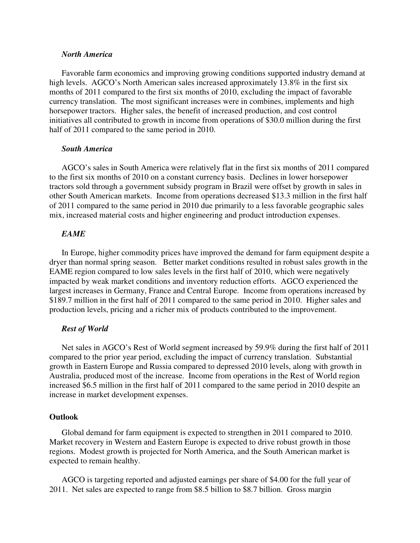# *North America*

Favorable farm economics and improving growing conditions supported industry demand at high levels. AGCO's North American sales increased approximately 13.8% in the first six months of 2011 compared to the first six months of 2010, excluding the impact of favorable currency translation. The most significant increases were in combines, implements and high horsepower tractors. Higher sales, the benefit of increased production, and cost control initiatives all contributed to growth in income from operations of \$30.0 million during the first half of 2011 compared to the same period in 2010.

## *South America*

AGCO's sales in South America were relatively flat in the first six months of 2011 compared to the first six months of 2010 on a constant currency basis. Declines in lower horsepower tractors sold through a government subsidy program in Brazil were offset by growth in sales in other South American markets. Income from operations decreased \$13.3 million in the first half of 2011 compared to the same period in 2010 due primarily to a less favorable geographic sales mix, increased material costs and higher engineering and product introduction expenses.

# *EAME*

In Europe, higher commodity prices have improved the demand for farm equipment despite a dryer than normal spring season. Better market conditions resulted in robust sales growth in the EAME region compared to low sales levels in the first half of 2010, which were negatively impacted by weak market conditions and inventory reduction efforts. AGCO experienced the largest increases in Germany, France and Central Europe. Income from operations increased by \$189.7 million in the first half of 2011 compared to the same period in 2010. Higher sales and production levels, pricing and a richer mix of products contributed to the improvement.

## *Rest of World*

Net sales in AGCO's Rest of World segment increased by 59.9% during the first half of 2011 compared to the prior year period, excluding the impact of currency translation. Substantial growth in Eastern Europe and Russia compared to depressed 2010 levels, along with growth in Australia, produced most of the increase. Income from operations in the Rest of World region increased \$6.5 million in the first half of 2011 compared to the same period in 2010 despite an increase in market development expenses.

### **Outlook**

Global demand for farm equipment is expected to strengthen in 2011 compared to 2010. Market recovery in Western and Eastern Europe is expected to drive robust growth in those regions. Modest growth is projected for North America, and the South American market is expected to remain healthy.

AGCO is targeting reported and adjusted earnings per share of \$4.00 for the full year of 2011. Net sales are expected to range from \$8.5 billion to \$8.7 billion. Gross margin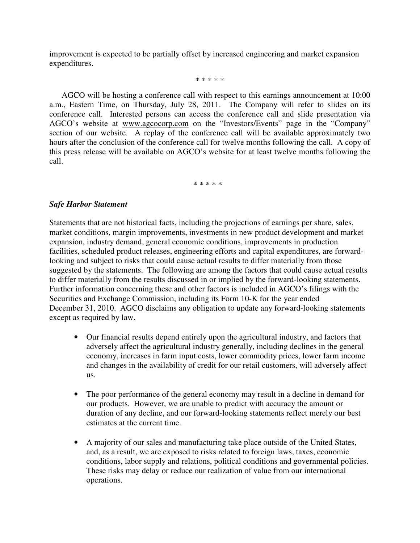improvement is expected to be partially offset by increased engineering and market expansion expenditures.

\* \* \* \* \*

AGCO will be hosting a conference call with respect to this earnings announcement at 10:00 a.m., Eastern Time, on Thursday, July 28, 2011. The Company will refer to slides on its conference call. Interested persons can access the conference call and slide presentation via AGCO's website at www.agcocorp.com on the "Investors/Events" page in the "Company" section of our website. A replay of the conference call will be available approximately two hours after the conclusion of the conference call for twelve months following the call. A copy of this press release will be available on AGCO's website for at least twelve months following the call.

\* \* \* \* \*

# *Safe Harbor Statement*

Statements that are not historical facts, including the projections of earnings per share, sales, market conditions, margin improvements, investments in new product development and market expansion, industry demand, general economic conditions, improvements in production facilities, scheduled product releases, engineering efforts and capital expenditures, are forwardlooking and subject to risks that could cause actual results to differ materially from those suggested by the statements. The following are among the factors that could cause actual results to differ materially from the results discussed in or implied by the forward-looking statements. Further information concerning these and other factors is included in AGCO's filings with the Securities and Exchange Commission, including its Form 10-K for the year ended December 31, 2010. AGCO disclaims any obligation to update any forward-looking statements except as required by law.

- Our financial results depend entirely upon the agricultural industry, and factors that adversely affect the agricultural industry generally, including declines in the general economy, increases in farm input costs, lower commodity prices, lower farm income and changes in the availability of credit for our retail customers, will adversely affect us.
- The poor performance of the general economy may result in a decline in demand for our products. However, we are unable to predict with accuracy the amount or duration of any decline, and our forward-looking statements reflect merely our best estimates at the current time.
- A majority of our sales and manufacturing take place outside of the United States, and, as a result, we are exposed to risks related to foreign laws, taxes, economic conditions, labor supply and relations, political conditions and governmental policies. These risks may delay or reduce our realization of value from our international operations.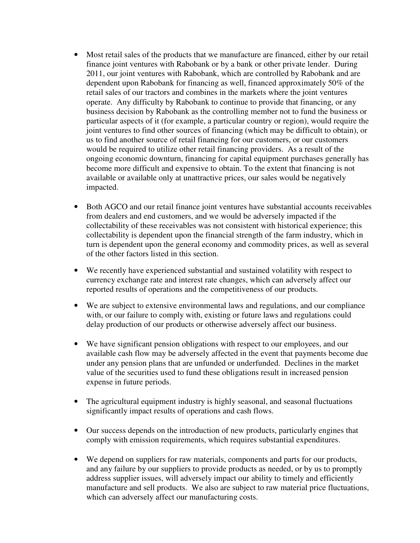- Most retail sales of the products that we manufacture are financed, either by our retail finance joint ventures with Rabobank or by a bank or other private lender. During 2011, our joint ventures with Rabobank, which are controlled by Rabobank and are dependent upon Rabobank for financing as well, financed approximately 50% of the retail sales of our tractors and combines in the markets where the joint ventures operate. Any difficulty by Rabobank to continue to provide that financing, or any business decision by Rabobank as the controlling member not to fund the business or particular aspects of it (for example, a particular country or region), would require the joint ventures to find other sources of financing (which may be difficult to obtain), or us to find another source of retail financing for our customers, or our customers would be required to utilize other retail financing providers. As a result of the ongoing economic downturn, financing for capital equipment purchases generally has become more difficult and expensive to obtain. To the extent that financing is not available or available only at unattractive prices, our sales would be negatively impacted.
- Both AGCO and our retail finance joint ventures have substantial accounts receivables from dealers and end customers, and we would be adversely impacted if the collectability of these receivables was not consistent with historical experience; this collectability is dependent upon the financial strength of the farm industry, which in turn is dependent upon the general economy and commodity prices, as well as several of the other factors listed in this section.
- We recently have experienced substantial and sustained volatility with respect to currency exchange rate and interest rate changes, which can adversely affect our reported results of operations and the competitiveness of our products.
- We are subject to extensive environmental laws and regulations, and our compliance with, or our failure to comply with, existing or future laws and regulations could delay production of our products or otherwise adversely affect our business.
- We have significant pension obligations with respect to our employees, and our available cash flow may be adversely affected in the event that payments become due under any pension plans that are unfunded or underfunded. Declines in the market value of the securities used to fund these obligations result in increased pension expense in future periods.
- The agricultural equipment industry is highly seasonal, and seasonal fluctuations significantly impact results of operations and cash flows.
- Our success depends on the introduction of new products, particularly engines that comply with emission requirements, which requires substantial expenditures.
- We depend on suppliers for raw materials, components and parts for our products, and any failure by our suppliers to provide products as needed, or by us to promptly address supplier issues, will adversely impact our ability to timely and efficiently manufacture and sell products. We also are subject to raw material price fluctuations, which can adversely affect our manufacturing costs.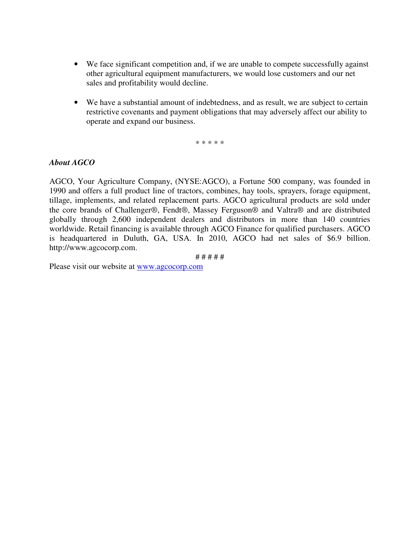- We face significant competition and, if we are unable to compete successfully against other agricultural equipment manufacturers, we would lose customers and our net sales and profitability would decline.
- We have a substantial amount of indebtedness, and as result, we are subject to certain restrictive covenants and payment obligations that may adversely affect our ability to operate and expand our business.

\* \* \* \* \*

# *About AGCO*

AGCO, Your Agriculture Company, (NYSE:AGCO), a Fortune 500 company, was founded in 1990 and offers a full product line of tractors, combines, hay tools, sprayers, forage equipment, tillage, implements, and related replacement parts. AGCO agricultural products are sold under the core brands of Challenger®, Fendt®, Massey Ferguson® and Valtra® and are distributed globally through 2,600 independent dealers and distributors in more than 140 countries worldwide. Retail financing is available through AGCO Finance for qualified purchasers. AGCO is headquartered in Duluth, GA, USA. In 2010, AGCO had net sales of \$6.9 billion. http://www.agcocorp.com.

# # # # #

Please visit our website at www.agcocorp.com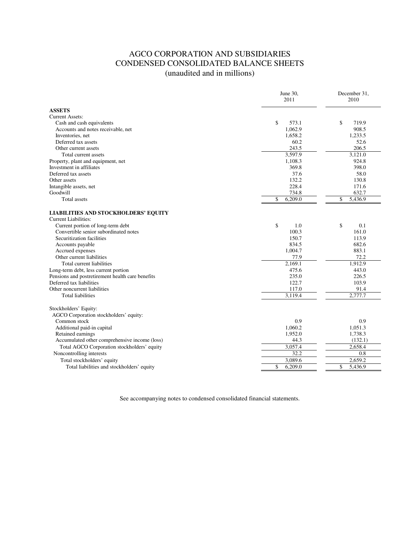# AGCO CORPORATION AND SUBSIDIARIES CONDENSED CONSOLIDATED BALANCE SHEETS (unaudited and in millions)

| <b>ASSETS</b><br>\$<br>\$<br>573.1<br>719.9<br>Cash and cash equivalents<br>1.062.9<br>908.5<br>Accounts and notes receivable, net<br>Inventories, net<br>1.658.2<br>1.233.5<br>52.6<br>Deferred tax assets<br>60.2<br>206.5<br>243.5<br>Other current assets<br>3,597.9<br>3,121.0<br>Total current assets<br>Property, plant and equipment, net<br>1,108.3<br>924.8<br>369.8<br>398.0<br>Deferred tax assets<br>37.6<br>58.0<br>Other assets<br>132.2<br>130.8<br>228.4<br>171.6<br>Goodwill<br>734.8<br>632.7<br>\$<br>6,209.0<br>\$<br>5.436.9<br><b>Total assets</b><br>\$<br>Current portion of long-term debt<br>\$<br>0.1<br>1.0<br>Convertible senior subordinated notes<br>100.3<br>161.0<br>Securitization facilities<br>150.7<br>113.9<br>834.5<br>682.6<br>Accounts payable<br>1.004.7<br>883.1<br>Accrued expenses<br>Other current liabilities<br>77.9<br>72.2<br>2,169.1<br>1,912.9<br>Total current liabilities<br>443.0<br>Long-term debt, less current portion<br>475.6<br>235.0<br>Pensions and postretirement health care benefits<br>226.5<br>Deferred tax liabilities<br>122.7<br>103.9<br>117.0<br>91.4<br>Other noncurrent liabilities<br>3,119.4<br>2,777.7<br><b>Total liabilities</b><br>Stockholders' Equity:<br>AGCO Corporation stockholders' equity:<br>Common stock<br>0.9<br>0.9<br>1,060.2<br>Additional paid-in capital<br>1,051.3<br>1,952.0<br>1,738.3<br>Retained earnings<br>(132.1)<br>Accumulated other comprehensive income (loss)<br>44.3<br>3,057.4<br>2,658.4<br>Total AGCO Corporation stockholders' equity<br>32.2<br>0.8<br>Noncontrolling interests<br>3,089.6<br>2,659.2<br>Total stockholders' equity<br>\$<br>\$<br>6,209.0<br>5,436.9<br>Total liabilities and stockholders' equity |                                                                     | June 30,<br>2011 | December 31,<br>2010 |  |  |
|-------------------------------------------------------------------------------------------------------------------------------------------------------------------------------------------------------------------------------------------------------------------------------------------------------------------------------------------------------------------------------------------------------------------------------------------------------------------------------------------------------------------------------------------------------------------------------------------------------------------------------------------------------------------------------------------------------------------------------------------------------------------------------------------------------------------------------------------------------------------------------------------------------------------------------------------------------------------------------------------------------------------------------------------------------------------------------------------------------------------------------------------------------------------------------------------------------------------------------------------------------------------------------------------------------------------------------------------------------------------------------------------------------------------------------------------------------------------------------------------------------------------------------------------------------------------------------------------------------------------------------------------------------------------------------------------------------------------------------------------|---------------------------------------------------------------------|------------------|----------------------|--|--|
|                                                                                                                                                                                                                                                                                                                                                                                                                                                                                                                                                                                                                                                                                                                                                                                                                                                                                                                                                                                                                                                                                                                                                                                                                                                                                                                                                                                                                                                                                                                                                                                                                                                                                                                                           |                                                                     |                  |                      |  |  |
|                                                                                                                                                                                                                                                                                                                                                                                                                                                                                                                                                                                                                                                                                                                                                                                                                                                                                                                                                                                                                                                                                                                                                                                                                                                                                                                                                                                                                                                                                                                                                                                                                                                                                                                                           | <b>Current Assets:</b>                                              |                  |                      |  |  |
|                                                                                                                                                                                                                                                                                                                                                                                                                                                                                                                                                                                                                                                                                                                                                                                                                                                                                                                                                                                                                                                                                                                                                                                                                                                                                                                                                                                                                                                                                                                                                                                                                                                                                                                                           |                                                                     |                  |                      |  |  |
|                                                                                                                                                                                                                                                                                                                                                                                                                                                                                                                                                                                                                                                                                                                                                                                                                                                                                                                                                                                                                                                                                                                                                                                                                                                                                                                                                                                                                                                                                                                                                                                                                                                                                                                                           |                                                                     |                  |                      |  |  |
|                                                                                                                                                                                                                                                                                                                                                                                                                                                                                                                                                                                                                                                                                                                                                                                                                                                                                                                                                                                                                                                                                                                                                                                                                                                                                                                                                                                                                                                                                                                                                                                                                                                                                                                                           |                                                                     |                  |                      |  |  |
|                                                                                                                                                                                                                                                                                                                                                                                                                                                                                                                                                                                                                                                                                                                                                                                                                                                                                                                                                                                                                                                                                                                                                                                                                                                                                                                                                                                                                                                                                                                                                                                                                                                                                                                                           |                                                                     |                  |                      |  |  |
|                                                                                                                                                                                                                                                                                                                                                                                                                                                                                                                                                                                                                                                                                                                                                                                                                                                                                                                                                                                                                                                                                                                                                                                                                                                                                                                                                                                                                                                                                                                                                                                                                                                                                                                                           |                                                                     |                  |                      |  |  |
|                                                                                                                                                                                                                                                                                                                                                                                                                                                                                                                                                                                                                                                                                                                                                                                                                                                                                                                                                                                                                                                                                                                                                                                                                                                                                                                                                                                                                                                                                                                                                                                                                                                                                                                                           |                                                                     |                  |                      |  |  |
|                                                                                                                                                                                                                                                                                                                                                                                                                                                                                                                                                                                                                                                                                                                                                                                                                                                                                                                                                                                                                                                                                                                                                                                                                                                                                                                                                                                                                                                                                                                                                                                                                                                                                                                                           |                                                                     |                  |                      |  |  |
|                                                                                                                                                                                                                                                                                                                                                                                                                                                                                                                                                                                                                                                                                                                                                                                                                                                                                                                                                                                                                                                                                                                                                                                                                                                                                                                                                                                                                                                                                                                                                                                                                                                                                                                                           | Investment in affiliates                                            |                  |                      |  |  |
|                                                                                                                                                                                                                                                                                                                                                                                                                                                                                                                                                                                                                                                                                                                                                                                                                                                                                                                                                                                                                                                                                                                                                                                                                                                                                                                                                                                                                                                                                                                                                                                                                                                                                                                                           |                                                                     |                  |                      |  |  |
|                                                                                                                                                                                                                                                                                                                                                                                                                                                                                                                                                                                                                                                                                                                                                                                                                                                                                                                                                                                                                                                                                                                                                                                                                                                                                                                                                                                                                                                                                                                                                                                                                                                                                                                                           |                                                                     |                  |                      |  |  |
|                                                                                                                                                                                                                                                                                                                                                                                                                                                                                                                                                                                                                                                                                                                                                                                                                                                                                                                                                                                                                                                                                                                                                                                                                                                                                                                                                                                                                                                                                                                                                                                                                                                                                                                                           | Intangible assets, net                                              |                  |                      |  |  |
|                                                                                                                                                                                                                                                                                                                                                                                                                                                                                                                                                                                                                                                                                                                                                                                                                                                                                                                                                                                                                                                                                                                                                                                                                                                                                                                                                                                                                                                                                                                                                                                                                                                                                                                                           |                                                                     |                  |                      |  |  |
|                                                                                                                                                                                                                                                                                                                                                                                                                                                                                                                                                                                                                                                                                                                                                                                                                                                                                                                                                                                                                                                                                                                                                                                                                                                                                                                                                                                                                                                                                                                                                                                                                                                                                                                                           |                                                                     |                  |                      |  |  |
|                                                                                                                                                                                                                                                                                                                                                                                                                                                                                                                                                                                                                                                                                                                                                                                                                                                                                                                                                                                                                                                                                                                                                                                                                                                                                                                                                                                                                                                                                                                                                                                                                                                                                                                                           | LIABILITIES AND STOCKHOLDERS' EQUITY<br><b>Current Liabilities:</b> |                  |                      |  |  |
|                                                                                                                                                                                                                                                                                                                                                                                                                                                                                                                                                                                                                                                                                                                                                                                                                                                                                                                                                                                                                                                                                                                                                                                                                                                                                                                                                                                                                                                                                                                                                                                                                                                                                                                                           |                                                                     |                  |                      |  |  |
|                                                                                                                                                                                                                                                                                                                                                                                                                                                                                                                                                                                                                                                                                                                                                                                                                                                                                                                                                                                                                                                                                                                                                                                                                                                                                                                                                                                                                                                                                                                                                                                                                                                                                                                                           |                                                                     |                  |                      |  |  |
|                                                                                                                                                                                                                                                                                                                                                                                                                                                                                                                                                                                                                                                                                                                                                                                                                                                                                                                                                                                                                                                                                                                                                                                                                                                                                                                                                                                                                                                                                                                                                                                                                                                                                                                                           |                                                                     |                  |                      |  |  |
|                                                                                                                                                                                                                                                                                                                                                                                                                                                                                                                                                                                                                                                                                                                                                                                                                                                                                                                                                                                                                                                                                                                                                                                                                                                                                                                                                                                                                                                                                                                                                                                                                                                                                                                                           |                                                                     |                  |                      |  |  |
|                                                                                                                                                                                                                                                                                                                                                                                                                                                                                                                                                                                                                                                                                                                                                                                                                                                                                                                                                                                                                                                                                                                                                                                                                                                                                                                                                                                                                                                                                                                                                                                                                                                                                                                                           |                                                                     |                  |                      |  |  |
|                                                                                                                                                                                                                                                                                                                                                                                                                                                                                                                                                                                                                                                                                                                                                                                                                                                                                                                                                                                                                                                                                                                                                                                                                                                                                                                                                                                                                                                                                                                                                                                                                                                                                                                                           |                                                                     |                  |                      |  |  |
|                                                                                                                                                                                                                                                                                                                                                                                                                                                                                                                                                                                                                                                                                                                                                                                                                                                                                                                                                                                                                                                                                                                                                                                                                                                                                                                                                                                                                                                                                                                                                                                                                                                                                                                                           |                                                                     |                  |                      |  |  |
|                                                                                                                                                                                                                                                                                                                                                                                                                                                                                                                                                                                                                                                                                                                                                                                                                                                                                                                                                                                                                                                                                                                                                                                                                                                                                                                                                                                                                                                                                                                                                                                                                                                                                                                                           |                                                                     |                  |                      |  |  |
|                                                                                                                                                                                                                                                                                                                                                                                                                                                                                                                                                                                                                                                                                                                                                                                                                                                                                                                                                                                                                                                                                                                                                                                                                                                                                                                                                                                                                                                                                                                                                                                                                                                                                                                                           |                                                                     |                  |                      |  |  |
|                                                                                                                                                                                                                                                                                                                                                                                                                                                                                                                                                                                                                                                                                                                                                                                                                                                                                                                                                                                                                                                                                                                                                                                                                                                                                                                                                                                                                                                                                                                                                                                                                                                                                                                                           |                                                                     |                  |                      |  |  |
|                                                                                                                                                                                                                                                                                                                                                                                                                                                                                                                                                                                                                                                                                                                                                                                                                                                                                                                                                                                                                                                                                                                                                                                                                                                                                                                                                                                                                                                                                                                                                                                                                                                                                                                                           |                                                                     |                  |                      |  |  |
|                                                                                                                                                                                                                                                                                                                                                                                                                                                                                                                                                                                                                                                                                                                                                                                                                                                                                                                                                                                                                                                                                                                                                                                                                                                                                                                                                                                                                                                                                                                                                                                                                                                                                                                                           |                                                                     |                  |                      |  |  |
|                                                                                                                                                                                                                                                                                                                                                                                                                                                                                                                                                                                                                                                                                                                                                                                                                                                                                                                                                                                                                                                                                                                                                                                                                                                                                                                                                                                                                                                                                                                                                                                                                                                                                                                                           |                                                                     |                  |                      |  |  |
|                                                                                                                                                                                                                                                                                                                                                                                                                                                                                                                                                                                                                                                                                                                                                                                                                                                                                                                                                                                                                                                                                                                                                                                                                                                                                                                                                                                                                                                                                                                                                                                                                                                                                                                                           |                                                                     |                  |                      |  |  |
|                                                                                                                                                                                                                                                                                                                                                                                                                                                                                                                                                                                                                                                                                                                                                                                                                                                                                                                                                                                                                                                                                                                                                                                                                                                                                                                                                                                                                                                                                                                                                                                                                                                                                                                                           |                                                                     |                  |                      |  |  |
|                                                                                                                                                                                                                                                                                                                                                                                                                                                                                                                                                                                                                                                                                                                                                                                                                                                                                                                                                                                                                                                                                                                                                                                                                                                                                                                                                                                                                                                                                                                                                                                                                                                                                                                                           |                                                                     |                  |                      |  |  |
|                                                                                                                                                                                                                                                                                                                                                                                                                                                                                                                                                                                                                                                                                                                                                                                                                                                                                                                                                                                                                                                                                                                                                                                                                                                                                                                                                                                                                                                                                                                                                                                                                                                                                                                                           |                                                                     |                  |                      |  |  |
|                                                                                                                                                                                                                                                                                                                                                                                                                                                                                                                                                                                                                                                                                                                                                                                                                                                                                                                                                                                                                                                                                                                                                                                                                                                                                                                                                                                                                                                                                                                                                                                                                                                                                                                                           |                                                                     |                  |                      |  |  |
|                                                                                                                                                                                                                                                                                                                                                                                                                                                                                                                                                                                                                                                                                                                                                                                                                                                                                                                                                                                                                                                                                                                                                                                                                                                                                                                                                                                                                                                                                                                                                                                                                                                                                                                                           |                                                                     |                  |                      |  |  |
|                                                                                                                                                                                                                                                                                                                                                                                                                                                                                                                                                                                                                                                                                                                                                                                                                                                                                                                                                                                                                                                                                                                                                                                                                                                                                                                                                                                                                                                                                                                                                                                                                                                                                                                                           |                                                                     |                  |                      |  |  |
|                                                                                                                                                                                                                                                                                                                                                                                                                                                                                                                                                                                                                                                                                                                                                                                                                                                                                                                                                                                                                                                                                                                                                                                                                                                                                                                                                                                                                                                                                                                                                                                                                                                                                                                                           |                                                                     |                  |                      |  |  |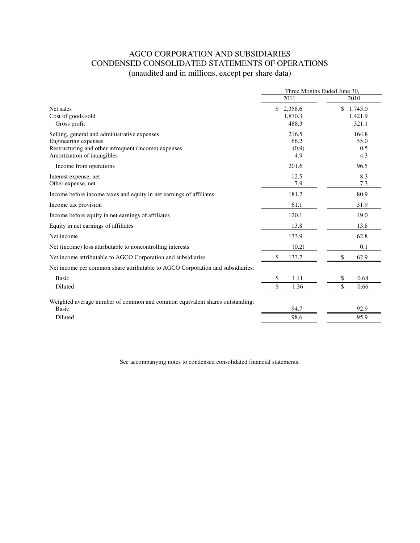# AGCO CORPORATION AND SUBSIDIARIES CONDENSED CONSOLIDATED STATEMENTS OF OPERATIONS (unaudited and in millions, except per share data)

|                                                                                                                                                             | Three Months Ended June 30.         |                                   |
|-------------------------------------------------------------------------------------------------------------------------------------------------------------|-------------------------------------|-----------------------------------|
|                                                                                                                                                             | 2011                                | 2010                              |
| Net sales<br>Cost of goods sold<br>Gross profit                                                                                                             | \$<br>2,358.6<br>1,870.3<br>488.3   | \$<br>1,743.0<br>1,421.9<br>321.1 |
| Selling, general and administrative expenses<br>Engineering expenses<br>Restructuring and other infrequent (income) expenses<br>Amortization of intangibles | 216.5<br>66.2<br>(0.9)<br>4.9       | 164.8<br>55.0<br>0.5<br>4.3       |
| Income from operations                                                                                                                                      | 201.6                               | 96.5                              |
| Interest expense, net<br>Other expense, net                                                                                                                 | 12.5<br>7.9                         | 8.3<br>7.3                        |
| Income before income taxes and equity in net earnings of affiliates                                                                                         | 181.2                               | 80.9                              |
| Income tax provision                                                                                                                                        | 61.1                                | 31.9                              |
| Income before equity in net earnings of affiliates                                                                                                          | 120.1                               | 49.0                              |
| Equity in net earnings of affiliates                                                                                                                        | 13.8                                | 13.8                              |
| Net income                                                                                                                                                  | 133.9                               | 62.8                              |
| Net (income) loss attributable to noncontrolling interests                                                                                                  | (0.2)                               | 0.1                               |
| Net income attributable to AGCO Corporation and subsidiaries                                                                                                | \$<br>133.7                         | \$<br>62.9                        |
| Net income per common share attributable to AGCO Corporation and subsidiaries:                                                                              |                                     |                                   |
| <b>Basic</b><br>Diluted                                                                                                                                     | \$<br>1.41<br>$\mathcal{S}$<br>1.36 | \$<br>0.68<br>\$<br>0.66          |
| Weighted average number of common and common equivalent shares outstanding:<br>Basic<br>Diluted                                                             | 94.7<br>98.6                        | 92.9<br>95.9                      |
|                                                                                                                                                             |                                     |                                   |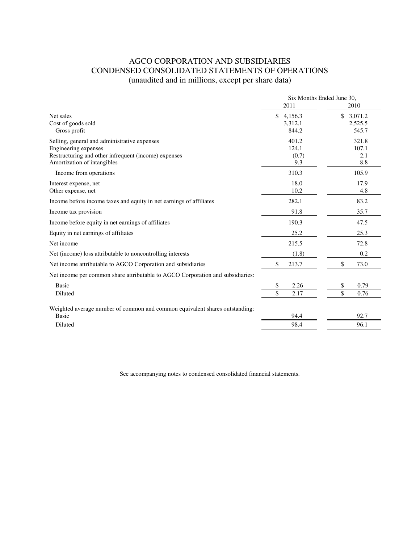# AGCO CORPORATION AND SUBSIDIARIES CONDENSED CONSOLIDATED STATEMENTS OF OPERATIONS (unaudited and in millions, except per share data)

|                                                                                | Six Months Ended June 30, |               |  |
|--------------------------------------------------------------------------------|---------------------------|---------------|--|
|                                                                                | 2011                      | 2010          |  |
| Net sales                                                                      | \$<br>4,156.3             | \$<br>3,071.2 |  |
| Cost of goods sold                                                             | 3,312.1                   | 2,525.5       |  |
| Gross profit                                                                   | 844.2                     | 545.7         |  |
| Selling, general and administrative expenses                                   | 401.2                     | 321.8         |  |
| Engineering expenses                                                           | 124.1                     | 107.1         |  |
| Restructuring and other infrequent (income) expenses                           | (0.7)                     | 2.1           |  |
| Amortization of intangibles                                                    | 9.3                       | 8.8           |  |
| Income from operations                                                         | 310.3                     | 105.9         |  |
| Interest expense, net                                                          | 18.0                      | 17.9          |  |
| Other expense, net                                                             | 10.2                      | 4.8           |  |
| Income before income taxes and equity in net earnings of affiliates            | 282.1                     | 83.2          |  |
| Income tax provision                                                           | 91.8                      | 35.7          |  |
| Income before equity in net earnings of affiliates                             | 190.3                     | 47.5          |  |
| Equity in net earnings of affiliates                                           | 25.2                      | 25.3          |  |
| Net income                                                                     | 215.5                     | 72.8          |  |
| Net (income) loss attributable to noncontrolling interests                     | (1.8)                     | 0.2           |  |
| Net income attributable to AGCO Corporation and subsidiaries                   | \$<br>213.7               | \$<br>73.0    |  |
| Net income per common share attributable to AGCO Corporation and subsidiaries: |                           |               |  |
| <b>Basic</b>                                                                   | 2.26<br>\$                | 0.79<br>\$    |  |
| Diluted                                                                        | \$<br>2.17                | \$<br>0.76    |  |
| Weighted average number of common and common equivalent shares outstanding:    |                           |               |  |
| <b>Basic</b>                                                                   | 94.4                      | 92.7          |  |
| Diluted                                                                        | 98.4                      | 96.1          |  |
|                                                                                |                           |               |  |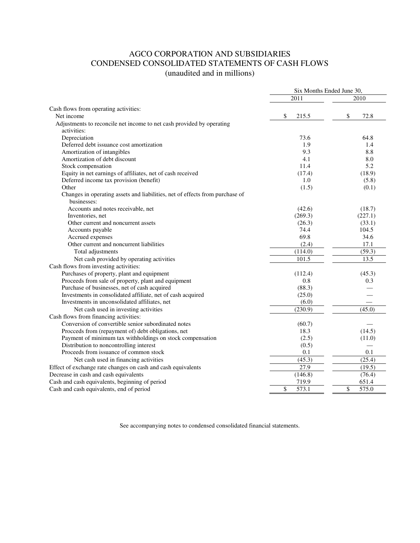# AGCO CORPORATION AND SUBSIDIARIES CONDENSED CONSOLIDATED STATEMENTS OF CASH FLOWS (unaudited and in millions)

|                                                                              | Six Months Ended June 30, |             |  |
|------------------------------------------------------------------------------|---------------------------|-------------|--|
|                                                                              | 2011                      | 2010        |  |
| Cash flows from operating activities:                                        |                           |             |  |
| Net income                                                                   | \$<br>215.5               | \$<br>72.8  |  |
| Adjustments to reconcile net income to net cash provided by operating        |                           |             |  |
| activities:                                                                  |                           |             |  |
| Depreciation                                                                 | 73.6                      | 64.8        |  |
| Deferred debt issuance cost amortization                                     | 1.9                       | 1.4         |  |
| Amortization of intangibles                                                  | 9.3                       | 8.8         |  |
| Amortization of debt discount                                                | 4.1                       | 8.0         |  |
| Stock compensation                                                           | 11.4                      | 5.2         |  |
| Equity in net earnings of affiliates, net of cash received                   | (17.4)                    | (18.9)      |  |
| Deferred income tax provision (benefit)                                      | 1.0                       | (5.8)       |  |
| Other                                                                        | (1.5)                     | (0.1)       |  |
| Changes in operating assets and liabilities, net of effects from purchase of |                           |             |  |
| businesses:                                                                  |                           |             |  |
| Accounts and notes receivable, net                                           | (42.6)                    | (18.7)      |  |
| Inventories, net                                                             | (269.3)                   | (227.1)     |  |
| Other current and noncurrent assets                                          | (26.3)                    | (33.1)      |  |
| Accounts payable                                                             | 74.4                      | 104.5       |  |
| Accrued expenses                                                             | 69.8                      | 34.6        |  |
| Other current and noncurrent liabilities                                     | (2.4)                     | 17.1        |  |
| Total adjustments                                                            | (114.0)                   | (59.3)      |  |
| Net cash provided by operating activities                                    | 101.5                     | 13.5        |  |
| Cash flows from investing activities:                                        |                           |             |  |
| Purchases of property, plant and equipment                                   | (112.4)                   | (45.3)      |  |
| Proceeds from sale of property, plant and equipment                          | 0.8                       | 0.3         |  |
| Purchase of businesses, net of cash acquired                                 | (88.3)                    |             |  |
| Investments in consolidated affiliate, net of cash acquired                  | (25.0)                    |             |  |
| Investments in unconsolidated affiliates, net                                | (6.0)                     |             |  |
| Net cash used in investing activities                                        | (230.9)                   | (45.0)      |  |
| Cash flows from financing activities:                                        |                           |             |  |
| Conversion of convertible senior subordinated notes                          | (60.7)                    |             |  |
| Proceeds from (repayment of) debt obligations, net                           | 18.3                      | (14.5)      |  |
| Payment of minimum tax withholdings on stock compensation                    | (2.5)                     | (11.0)      |  |
| Distribution to noncontrolling interest                                      | (0.5)                     |             |  |
| Proceeds from issuance of common stock                                       | 0.1                       | 0.1         |  |
| Net cash used in financing activities                                        | (45.3)                    | (25.4)      |  |
| Effect of exchange rate changes on cash and cash equivalents                 | 27.9                      | (19.5)      |  |
| Decrease in cash and cash equivalents                                        | (146.8)                   | (76.4)      |  |
| Cash and cash equivalents, beginning of period                               | 719.9                     | 651.4       |  |
| Cash and cash equivalents, end of period                                     | \$<br>573.1               | \$<br>575.0 |  |
|                                                                              |                           |             |  |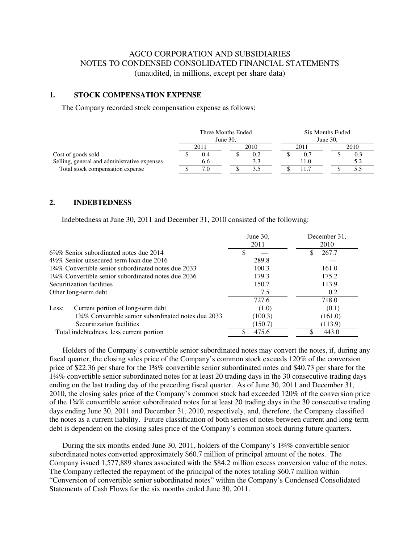# AGCO CORPORATION AND SUBSIDIARIES NOTES TO CONDENSED CONSOLIDATED FINANCIAL STATEMENTS (unaudited, in millions, except per share data)

### **1. STOCK COMPENSATION EXPENSE**

The Company recorded stock compensation expense as follows:

|                                              | Three Months Ended |      |  |             | Six Months Ended |      |  |      |
|----------------------------------------------|--------------------|------|--|-------------|------------------|------|--|------|
|                                              | June $30$ .        |      |  | June $30$ . |                  |      |  |      |
|                                              |                    | 2011 |  | 2010        |                  | 2011 |  | 2010 |
| Cost of goods sold                           |                    |      |  | 0.2         |                  |      |  | U.1  |
| Selling, general and administrative expenses |                    | 6.6  |  |             |                  | 11.0 |  |      |
| Total stock compensation expense             |                    |      |  |             |                  |      |  |      |

#### **2. INDEBTEDNESS**

Indebtedness at June 30, 2011 and December 31, 2010 consisted of the following:

|                                                      | June 30, | December 31, |
|------------------------------------------------------|----------|--------------|
|                                                      | 2011     | 2010         |
| $6\%$ % Senior subordinated notes due 2014           |          | 267.7        |
| $4\frac{1}{2}\%$ Senior unsecured term loan due 2016 | 289.8    |              |
| 134\% Convertible senior subordinated notes due 2033 | 100.3    | 161.0        |
| 1¼% Convertible senior subordinated notes due 2036   | 179.3    | 175.2        |
| Securitization facilities                            | 150.7    | 113.9        |
| Other long-term debt                                 | 7.5      | 0.2          |
|                                                      | 727.6    | 718.0        |
| Current portion of long-term debt<br>Less:           | (1.0)    | (0.1)        |
| 134\% Convertible senior subordinated notes due 2033 | (100.3)  | (161.0)      |
| Securitization facilities                            | (150.7)  | (113.9)      |
| Total indebtedness, less current portion             | 475.6    | 443.0        |

 Holders of the Company's convertible senior subordinated notes may convert the notes, if, during any fiscal quarter, the closing sales price of the Company's common stock exceeds 120% of the conversion price of \$22.36 per share for the 1¾% convertible senior subordinated notes and \$40.73 per share for the 1¼% convertible senior subordinated notes for at least 20 trading days in the 30 consecutive trading days ending on the last trading day of the preceding fiscal quarter. As of June 30, 2011 and December 31, 2010, the closing sales price of the Company's common stock had exceeded 120% of the conversion price of the 1¾% convertible senior subordinated notes for at least 20 trading days in the 30 consecutive trading days ending June 30, 2011 and December 31, 2010, respectively, and, therefore, the Company classified the notes as a current liability. Future classification of both series of notes between current and long-term debt is dependent on the closing sales price of the Company's common stock during future quarters.

 During the six months ended June 30, 2011, holders of the Company's 1¾% convertible senior subordinated notes converted approximately \$60.7 million of principal amount of the notes. The Company issued 1,577,889 shares associated with the \$84.2 million excess conversion value of the notes. The Company reflected the repayment of the principal of the notes totaling \$60.7 million within "Conversion of convertible senior subordinated notes" within the Company's Condensed Consolidated Statements of Cash Flows for the six months ended June 30, 2011.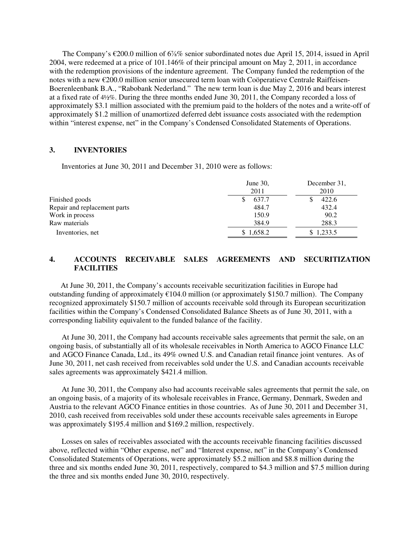The Company's €200.0 million of 6⅞% senior subordinated notes due April 15, 2014, issued in April 2004, were redeemed at a price of 101.146% of their principal amount on May 2, 2011, in accordance with the redemption provisions of the indenture agreement. The Company funded the redemption of the notes with a new €200.0 million senior unsecured term loan with Coöperatieve Centrale Raiffeisen-Boerenleenbank B.A., "Rabobank Nederland." The new term loan is due May 2, 2016 and bears interest at a fixed rate of 4½%. During the three months ended June 30, 2011, the Company recorded a loss of approximately \$3.1 million associated with the premium paid to the holders of the notes and a write-off of approximately \$1.2 million of unamortized deferred debt issuance costs associated with the redemption within "interest expense, net" in the Company's Condensed Consolidated Statements of Operations.

#### **3. INVENTORIES**

Inventories at June 30, 2011 and December 31, 2010 were as follows:

|                              | June $30$ ,<br>2011 | December 31,<br>2010 |  |  |
|------------------------------|---------------------|----------------------|--|--|
| Finished goods               | 637.7               | 422.6                |  |  |
| Repair and replacement parts | 484.7               | 432.4                |  |  |
| Work in process              | 150.9               | 90.2                 |  |  |
| Raw materials                | 384.9               | 288.3                |  |  |
| Inventories, net             | \$1,658.2           | \$1,233.5            |  |  |

## **4. ACCOUNTS RECEIVABLE SALES AGREEMENTS AND SECURITIZATION FACILITIES**

 At June 30, 2011, the Company's accounts receivable securitization facilities in Europe had outstanding funding of approximately €104.0 million (or approximately \$150.7 million). The Company recognized approximately \$150.7 million of accounts receivable sold through its European securitization facilities within the Company's Condensed Consolidated Balance Sheets as of June 30, 2011, with a corresponding liability equivalent to the funded balance of the facility.

At June 30, 2011, the Company had accounts receivable sales agreements that permit the sale, on an ongoing basis, of substantially all of its wholesale receivables in North America to AGCO Finance LLC and AGCO Finance Canada, Ltd., its 49% owned U.S. and Canadian retail finance joint ventures. As of June 30, 2011, net cash received from receivables sold under the U.S. and Canadian accounts receivable sales agreements was approximately \$421.4 million.

At June 30, 2011, the Company also had accounts receivable sales agreements that permit the sale, on an ongoing basis, of a majority of its wholesale receivables in France, Germany, Denmark, Sweden and Austria to the relevant AGCO Finance entities in those countries. As of June 30, 2011 and December 31, 2010, cash received from receivables sold under these accounts receivable sales agreements in Europe was approximately \$195.4 million and \$169.2 million, respectively.

Losses on sales of receivables associated with the accounts receivable financing facilities discussed above, reflected within "Other expense, net" and "Interest expense, net" in the Company's Condensed Consolidated Statements of Operations, were approximately \$5.2 million and \$8.8 million during the three and six months ended June 30, 2011, respectively, compared to \$4.3 million and \$7.5 million during the three and six months ended June 30, 2010, respectively.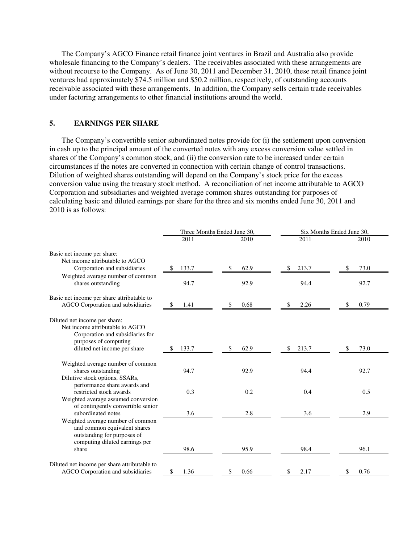The Company's AGCO Finance retail finance joint ventures in Brazil and Australia also provide wholesale financing to the Company's dealers. The receivables associated with these arrangements are without recourse to the Company. As of June 30, 2011 and December 31, 2010, these retail finance joint ventures had approximately \$74.5 million and \$50.2 million, respectively, of outstanding accounts receivable associated with these arrangements. In addition, the Company sells certain trade receivables under factoring arrangements to other financial institutions around the world.

# **5. EARNINGS PER SHARE**

The Company's convertible senior subordinated notes provide for (i) the settlement upon conversion in cash up to the principal amount of the converted notes with any excess conversion value settled in shares of the Company's common stock, and (ii) the conversion rate to be increased under certain circumstances if the notes are converted in connection with certain change of control transactions. Dilution of weighted shares outstanding will depend on the Company's stock price for the excess conversion value using the treasury stock method. A reconciliation of net income attributable to AGCO Corporation and subsidiaries and weighted average common shares outstanding for purposes of calculating basic and diluted earnings per share for the three and six months ended June 30, 2011 and 2010 is as follows:

|                                                                                                                                                               |             | Three Months Ended June 30, | Six Months Ended June 30, |           |  |  |
|---------------------------------------------------------------------------------------------------------------------------------------------------------------|-------------|-----------------------------|---------------------------|-----------|--|--|
|                                                                                                                                                               | 2011        | 2010                        | 2011                      | 2010      |  |  |
| Basic net income per share:<br>Net income attributable to AGCO                                                                                                |             |                             |                           |           |  |  |
| Corporation and subsidiaries                                                                                                                                  | 133.7<br>\$ | 62.9<br>S                   | 213.7<br>S                | 73.0      |  |  |
| Weighted average number of common<br>shares outstanding                                                                                                       | 94.7        | 92.9                        | 94.4                      | 92.7      |  |  |
| Basic net income per share attributable to<br>AGCO Corporation and subsidiaries                                                                               | \$<br>1.41  | 0.68<br>S.                  | 2.26<br>S                 | 0.79<br>S |  |  |
| Diluted net income per share:<br>Net income attributable to AGCO<br>Corporation and subsidiaries for<br>purposes of computing<br>diluted net income per share | 133.7<br>S  | 62.9<br>S                   | 213.7<br>S                | 73.0<br>S |  |  |
| Weighted average number of common<br>shares outstanding<br>Dilutive stock options, SSARs,                                                                     | 94.7        | 92.9                        | 94.4                      | 92.7      |  |  |
| performance share awards and<br>restricted stock awards<br>Weighted average assumed conversion                                                                | 0.3         | 0.2                         | 0.4                       | 0.5       |  |  |
| of contingently convertible senior<br>subordinated notes                                                                                                      | 3.6         | 2.8                         | 3.6                       | 2.9       |  |  |
| Weighted average number of common<br>and common equivalent shares<br>outstanding for purposes of<br>computing diluted earnings per<br>share                   | 98.6        | 95.9                        | 98.4                      | 96.1      |  |  |
| Diluted net income per share attributable to<br>AGCO Corporation and subsidiaries                                                                             | \$<br>1.36  | 0.66<br>\$                  | 2.17<br>\$                | 0.76<br>S |  |  |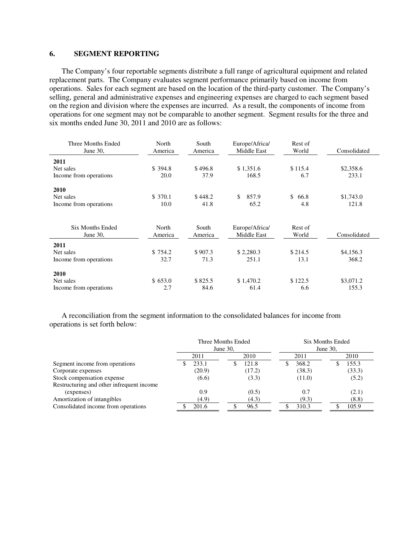### **6. SEGMENT REPORTING**

The Company's four reportable segments distribute a full range of agricultural equipment and related replacement parts. The Company evaluates segment performance primarily based on income from operations. Sales for each segment are based on the location of the third-party customer. The Company's selling, general and administrative expenses and engineering expenses are charged to each segment based on the region and division where the expenses are incurred. As a result, the components of income from operations for one segment may not be comparable to another segment. Segment results for the three and six months ended June 30, 2011 and 2010 are as follows:

| Three Months Ended<br>June 30, | North<br>America | South<br>America | Europe/Africa/<br>Middle East | Rest of<br>World | Consolidated |  |
|--------------------------------|------------------|------------------|-------------------------------|------------------|--------------|--|
| 2011                           |                  |                  |                               |                  |              |  |
| Net sales                      | \$394.8          | \$496.8          | \$1,351.6                     | \$115.4          | \$2,358.6    |  |
| Income from operations         | 20.0             | 37.9             | 168.5                         | 6.7              | 233.1        |  |
| 2010                           |                  |                  |                               |                  |              |  |
| Net sales                      | \$370.1          | \$448.2          | 857.9<br>\$.                  | \$<br>66.8       | \$1,743.0    |  |
| Income from operations         | 10.0             | 41.8             | 65.2                          | 4.8              | 121.8        |  |
|                                |                  |                  |                               |                  |              |  |
| <b>Six Months Ended</b>        | North            | South            | Europe/Africa/                | Rest of          |              |  |
| June 30,                       | America          | America          | Middle East                   | World            | Consolidated |  |
| 2011                           |                  |                  |                               |                  |              |  |
| Net sales                      | \$754.2          | \$907.3          | \$2,280.3                     | \$214.5          | \$4,156.3    |  |
| Income from operations         | 32.7             | 71.3             | 251.1                         | 13.1             | 368.2        |  |
| 2010                           |                  |                  |                               |                  |              |  |
| Net sales                      | \$653.0          | \$825.5          | \$1,470.2                     | \$122.5          | \$3,071.2    |  |
| Income from operations         | 2.7              | 84.6             | 61.4                          | 6.6              | 155.3        |  |

A reconciliation from the segment information to the consolidated balances for income from operations is set forth below:

|                                           | Three Months Ended<br>June 30, |        |  | Six Months Ended<br>June 30, |        |  |        |
|-------------------------------------------|--------------------------------|--------|--|------------------------------|--------|--|--------|
|                                           |                                | 2011   |  | 2010                         | 2011   |  | 2010   |
| Segment income from operations            |                                | 233.1  |  | 121.8                        | 368.2  |  | 155.3  |
| Corporate expenses                        |                                | (20.9) |  | (17.2)                       | (38.3) |  | (33.3) |
| Stock compensation expense                |                                | (6.6)  |  | (3.3)                        | (11.0) |  | (5.2)  |
| Restructuring and other infrequent income |                                |        |  |                              |        |  |        |
| (expenses)                                |                                | 0.9    |  | (0.5)                        | 0.7    |  | (2.1)  |
| Amortization of intangibles               |                                | (4.9)  |  | (4.3)                        | (9.3)  |  | (8.8)  |
| Consolidated income from operations       |                                | 201.6  |  | 96.5                         | 310.3  |  | 105.9  |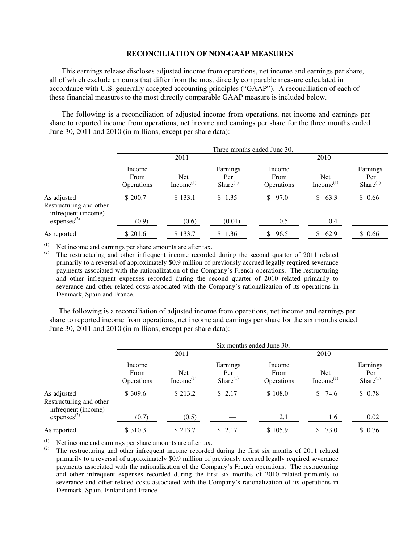#### **RECONCILIATION OF NON-GAAP MEASURES**

This earnings release discloses adjusted income from operations, net income and earnings per share, all of which exclude amounts that differ from the most directly comparable measure calculated in accordance with U.S. generally accepted accounting principles ("GAAP"). A reconciliation of each of these financial measures to the most directly comparable GAAP measure is included below.

The following is a reconciliation of adjusted income from operations, net income and earnings per share to reported income from operations, net income and earnings per share for the three months ended June 30, 2011 and 2010 (in millions, except per share data):

|                                                               | Three months ended June 30,  |                                     |                                |                                     |                                     |                                  |
|---------------------------------------------------------------|------------------------------|-------------------------------------|--------------------------------|-------------------------------------|-------------------------------------|----------------------------------|
|                                                               | 2011                         |                                     |                                | 2010                                |                                     |                                  |
|                                                               | Income<br>From<br>Operations | <b>Net</b><br>Income <sup>(1)</sup> | Earnings<br>Per<br>Share $(1)$ | Income<br>From<br><b>Operations</b> | <b>Net</b><br>Income <sup>(1)</sup> | Earnings<br>Per<br>$Share^{(1)}$ |
| As adjusted<br>Restructuring and other<br>infrequent (income) | \$ 200.7                     | \$133.1                             | \$1.35                         | 97.0<br>\$.                         | \$<br>63.3                          | \$0.66                           |
| express <sup>(2)</sup>                                        | (0.9)                        | (0.6)                               | (0.01)                         | 0.5                                 | 0.4                                 |                                  |
| As reported                                                   | \$201.6                      | \$133.7                             | \$1.36                         | 96.5<br>S.                          | 62.9<br>S                           | \$0.66                           |

(1) Net income and earnings per share amounts are after tax.<br>(2) The restructuring and other infrequent income recorder

The restructuring and other infrequent income recorded during the second quarter of 2011 related primarily to a reversal of approximately \$0.9 million of previously accrued legally required severance payments associated with the rationalization of the Company's French operations. The restructuring and other infrequent expenses recorded during the second quarter of 2010 related primarily to severance and other related costs associated with the Company's rationalization of its operations in Denmark, Spain and France.

 The following is a reconciliation of adjusted income from operations, net income and earnings per share to reported income from operations, net income and earnings per share for the six months ended June 30, 2011 and 2010 (in millions, except per share data):

|                                                               | Six months ended June 30,           |                                     |                                   |                                     |                                     |                                  |
|---------------------------------------------------------------|-------------------------------------|-------------------------------------|-----------------------------------|-------------------------------------|-------------------------------------|----------------------------------|
|                                                               | 2011                                |                                     |                                   | 2010                                |                                     |                                  |
|                                                               | Income<br>From<br><b>Operations</b> | <b>Net</b><br>Income <sup>(1)</sup> | Earnings<br>Per<br>Share $^{(1)}$ | Income<br>From<br><b>Operations</b> | <b>Net</b><br>Income <sup>(1)</sup> | Earnings<br>Per<br>$Share^{(1)}$ |
| As adjusted<br>Restructuring and other<br>infrequent (income) | \$309.6                             | \$213.2                             | \$2.17                            | \$108.0                             | 74.6<br>\$                          | \$0.78                           |
| express <sup>(2)</sup>                                        | (0.7)                               | (0.5)                               |                                   | 2.1                                 | 1.6                                 | 0.02                             |
| As reported                                                   | \$ 310.3                            | \$213.7                             | \$2.17                            | \$105.9                             | 73.0<br>S                           | \$0.76                           |

(1) Net income and earnings per share amounts are after tax.<br>(2) The restructuring and other infracuent income recorded

The restructuring and other infrequent income recorded during the first six months of 2011 related primarily to a reversal of approximately \$0.9 million of previously accrued legally required severance payments associated with the rationalization of the Company's French operations. The restructuring and other infrequent expenses recorded during the first six months of 2010 related primarily to severance and other related costs associated with the Company's rationalization of its operations in Denmark, Spain, Finland and France.